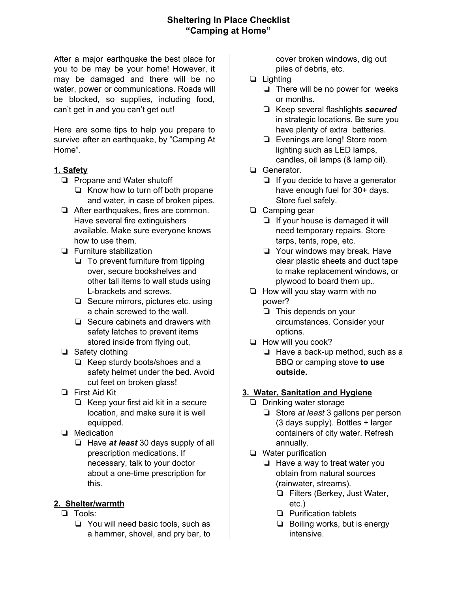## **Sheltering In Place Checklist "Camping at Home"**

After a major earthquake the best place for you to be may be your home! However, it may be damaged and there will be no water, power or communications. Roads will be blocked, so supplies, including food, can't get in and you can't get out!

Here are some tips to help you prepare to survive after an earthquake, by "Camping At Home".

## **1. Safety**

- ❏ Propane and Water shutoff
	- ❏ Know how to turn off both propane and water, in case of broken pipes.
- ❏ After earthquakes, fires are common. Have several fire extinguishers available. Make sure everyone knows how to use them.
- ❏ Furniture stabilization
	- ❏ To prevent furniture from tipping over, secure bookshelves and other tall items to wall studs using L-brackets and screws.
	- ❏ Secure mirrors, pictures etc. using a chain screwed to the wall.
	- ❏ Secure cabinets and drawers with safety latches to prevent items stored inside from flying out,
- ❏ Safety clothing
	- ❏ Keep sturdy boots/shoes and a safety helmet under the bed. Avoid cut feet on broken glass!
- ❏ First Aid Kit
	- ❏ Keep your first aid kit in a secure location, and make sure it is well equipped.
- ❏ Medication
	- ❏ Have *at least* 30 days supply of all prescription medications. If necessary, talk to your doctor about a one-time prescription for this.

#### **2. Shelter/warmth**

- ❏ Tools:
	- ❏ You will need basic tools, such as a hammer, shovel, and pry bar, to

cover broken windows, dig out piles of debris, etc.

- ❏ Lighting
	- ❏ There will be no power for weeks or months.
	- ❏ Keep several flashlights *secured* in strategic locations. Be sure you have plenty of extra batteries.
	- ❏ Evenings are long! Store room lighting such as LED lamps, candles, oil lamps (& lamp oil).
- ❏ Generator.
	- ❏ If you decide to have a generator have enough fuel for 30+ days. Store fuel safely.
- ❏ Camping gear
	- ❏ If your house is damaged it will need temporary repairs. Store tarps, tents, rope, etc.
	- ❏ Your windows may break. Have clear plastic sheets and duct tape to make replacement windows, or plywood to board them up..
- ❏ How will you stay warm with no power?
	- ❏ This depends on your circumstances. Consider your options.
- ❏ How will you cook?
	- ❏ Have a back-up method, such as a BBQ or camping stove **to use outside.**

# **3. Water, Sanitation and Hygiene**

- ❏ Drinking water storage
	- ❏ Store *at least* 3 gallons per person (3 days supply). Bottles + larger containers of city water. Refresh annually.
- ❏ Water purification
	- ❏ Have a way to treat water you obtain from natural sources (rainwater, streams).
		- ❏ Filters (Berkey, Just Water, etc.)
		- ❏ Purification tablets
		- ❏ Boiling works, but is energy intensive.